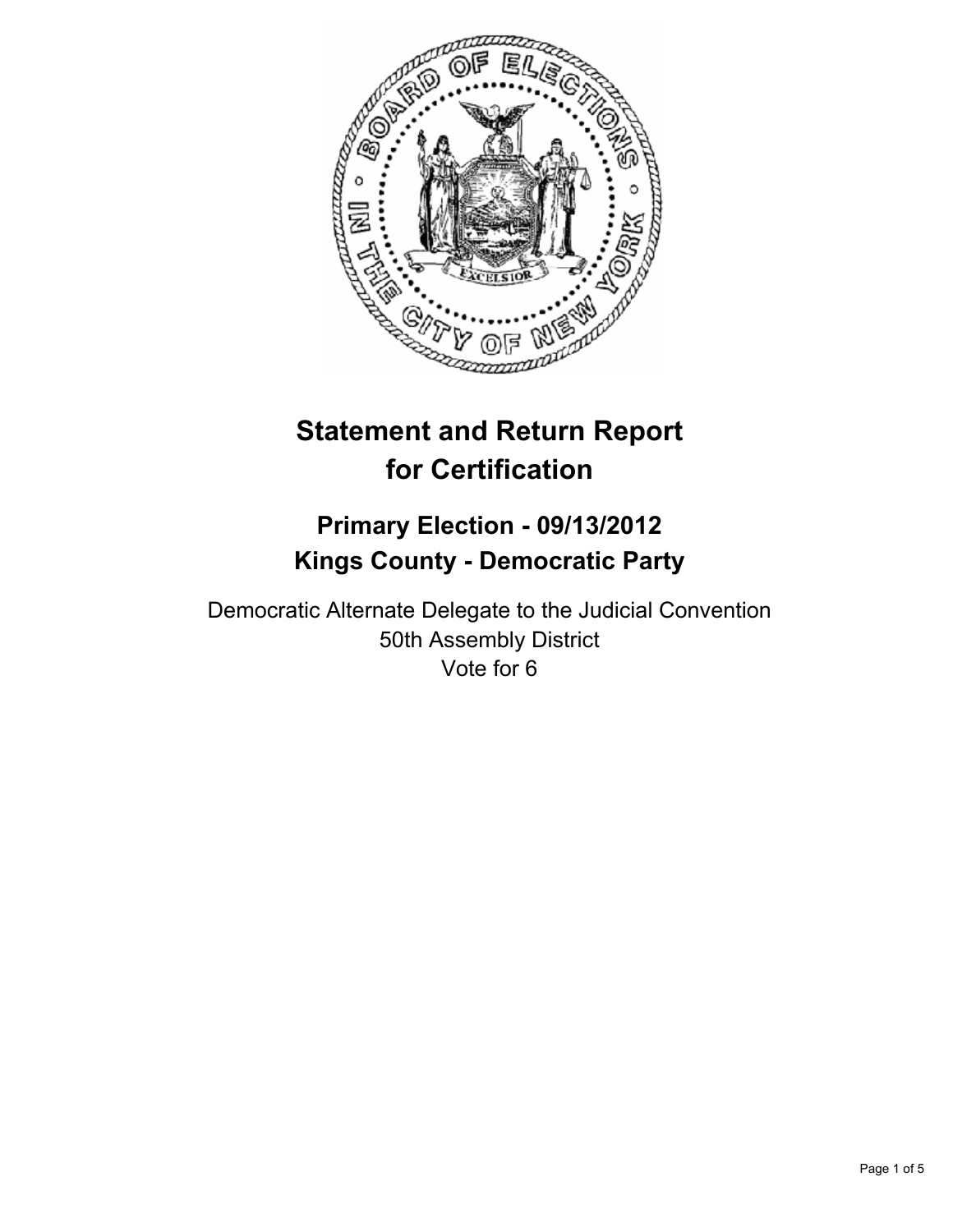

# **Statement and Return Report for Certification**

## **Primary Election - 09/13/2012 Kings County - Democratic Party**

Democratic Alternate Delegate to the Judicial Convention 50th Assembly District Vote for 6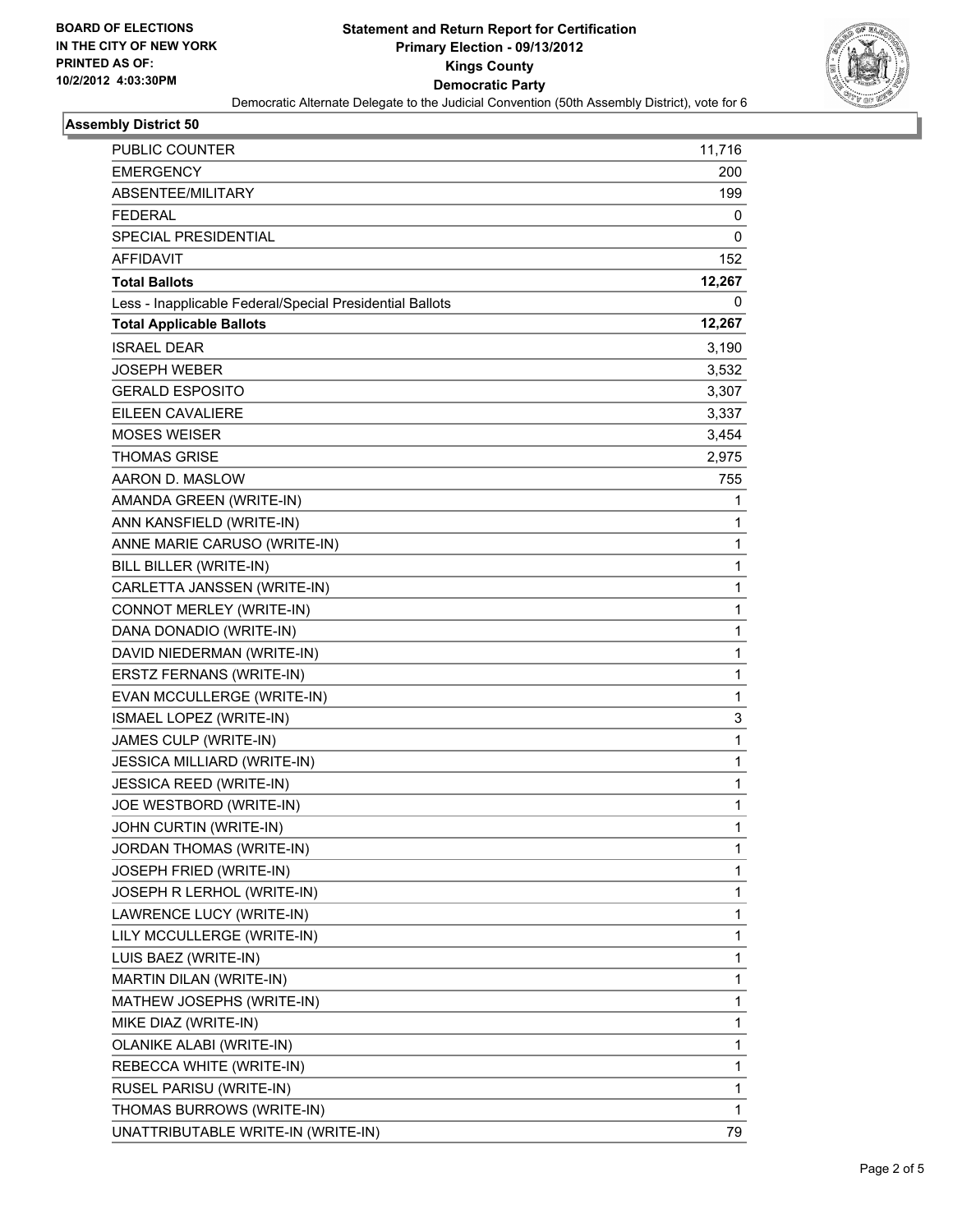

#### **Assembly District 50**

| PUBLIC COUNTER                                           | 11,716       |
|----------------------------------------------------------|--------------|
| <b>EMERGENCY</b>                                         | 200          |
| ABSENTEE/MILITARY                                        | 199          |
| <b>FEDERAL</b>                                           | 0            |
| SPECIAL PRESIDENTIAL                                     | 0            |
| AFFIDAVIT                                                | 152          |
| <b>Total Ballots</b>                                     | 12,267       |
| Less - Inapplicable Federal/Special Presidential Ballots | 0            |
| <b>Total Applicable Ballots</b>                          | 12,267       |
| <b>ISRAEL DEAR</b>                                       | 3,190        |
| <b>JOSEPH WEBER</b>                                      | 3,532        |
| <b>GERALD ESPOSITO</b>                                   | 3,307        |
| EILEEN CAVALIERE                                         | 3,337        |
| <b>MOSES WEISER</b>                                      | 3,454        |
| <b>THOMAS GRISE</b>                                      | 2,975        |
| AARON D. MASLOW                                          | 755          |
| AMANDA GREEN (WRITE-IN)                                  | 1            |
| ANN KANSFIELD (WRITE-IN)                                 | 1            |
| ANNE MARIE CARUSO (WRITE-IN)                             | $\mathbf{1}$ |
| BILL BILLER (WRITE-IN)                                   | 1            |
| CARLETTA JANSSEN (WRITE-IN)                              | 1            |
| CONNOT MERLEY (WRITE-IN)                                 | $\mathbf{1}$ |
| DANA DONADIO (WRITE-IN)                                  | 1            |
| DAVID NIEDERMAN (WRITE-IN)                               | 1            |
| ERSTZ FERNANS (WRITE-IN)                                 | $\mathbf{1}$ |
| EVAN MCCULLERGE (WRITE-IN)                               | 1            |
| ISMAEL LOPEZ (WRITE-IN)                                  | 3            |
| JAMES CULP (WRITE-IN)                                    | $\mathbf{1}$ |
| JESSICA MILLIARD (WRITE-IN)                              | 1            |
| JESSICA REED (WRITE-IN)                                  | 1            |
| JOE WESTBORD (WRITE-IN)                                  | 1            |
| JOHN CURTIN (WRITE-IN)                                   | 1            |
| JORDAN THOMAS (WRITE-IN)                                 | $\mathbf 1$  |
| JOSEPH FRIED (WRITE-IN)                                  | $\mathbf{1}$ |
| JOSEPH R LERHOL (WRITE-IN)                               | 1            |
| LAWRENCE LUCY (WRITE-IN)                                 | 1            |
| LILY MCCULLERGE (WRITE-IN)                               | $\mathbf{1}$ |
| LUIS BAEZ (WRITE-IN)                                     | 1            |
| MARTIN DILAN (WRITE-IN)                                  | $\mathbf{1}$ |
| MATHEW JOSEPHS (WRITE-IN)                                | $\mathbf{1}$ |
| MIKE DIAZ (WRITE-IN)                                     | 1            |
| OLANIKE ALABI (WRITE-IN)                                 | $\mathbf{1}$ |
| REBECCA WHITE (WRITE-IN)                                 | $\mathbf{1}$ |
| RUSEL PARISU (WRITE-IN)                                  | 1            |
| THOMAS BURROWS (WRITE-IN)                                | $\mathbf{1}$ |
| UNATTRIBUTABLE WRITE-IN (WRITE-IN)                       | 79           |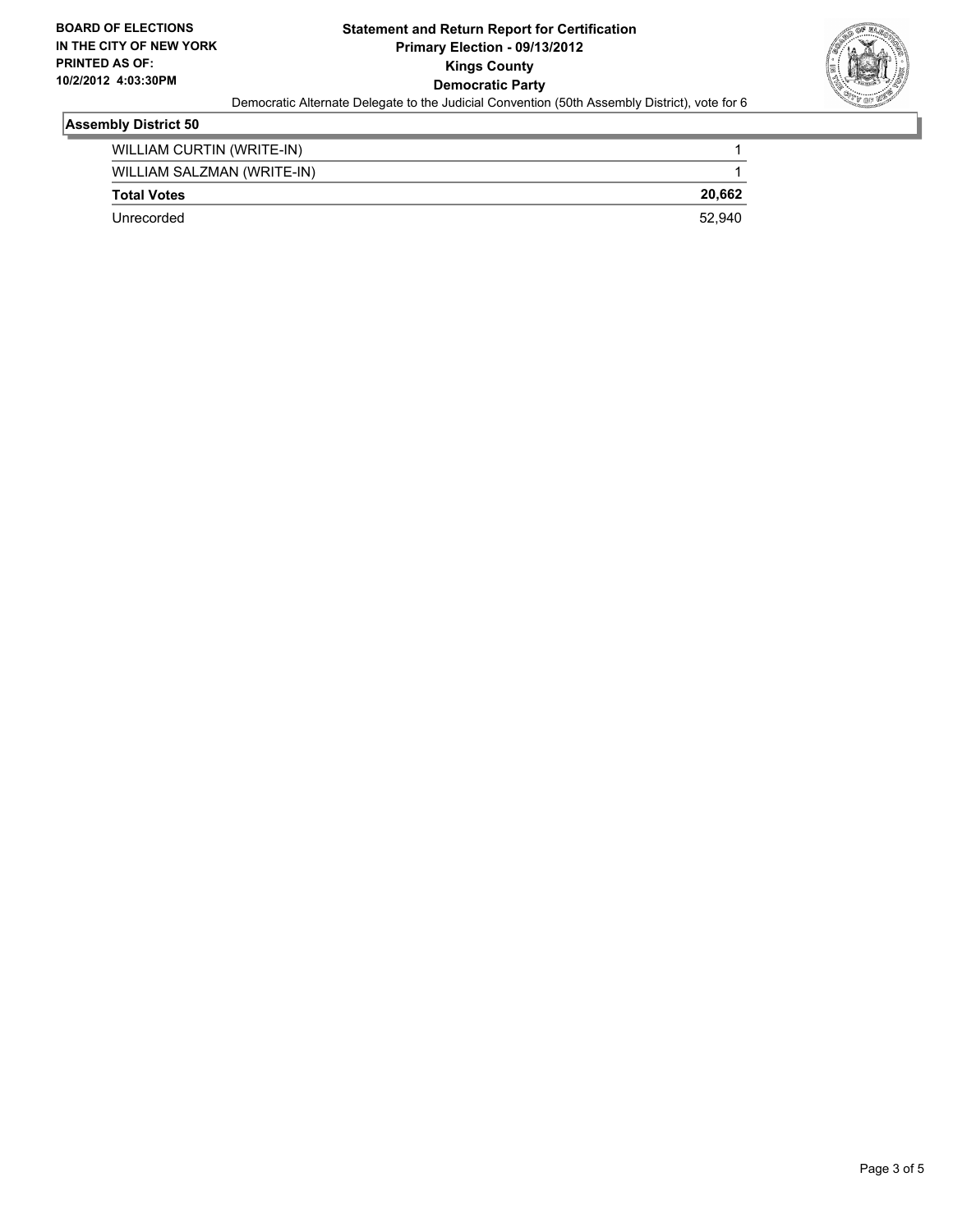

### **Assembly District 50**

| WILLIAM CURTIN (WRITE-IN)  |        |
|----------------------------|--------|
| WILLIAM SALZMAN (WRITE-IN) |        |
| <b>Total Votes</b>         | 20.662 |
| Unrecorded                 | 52.940 |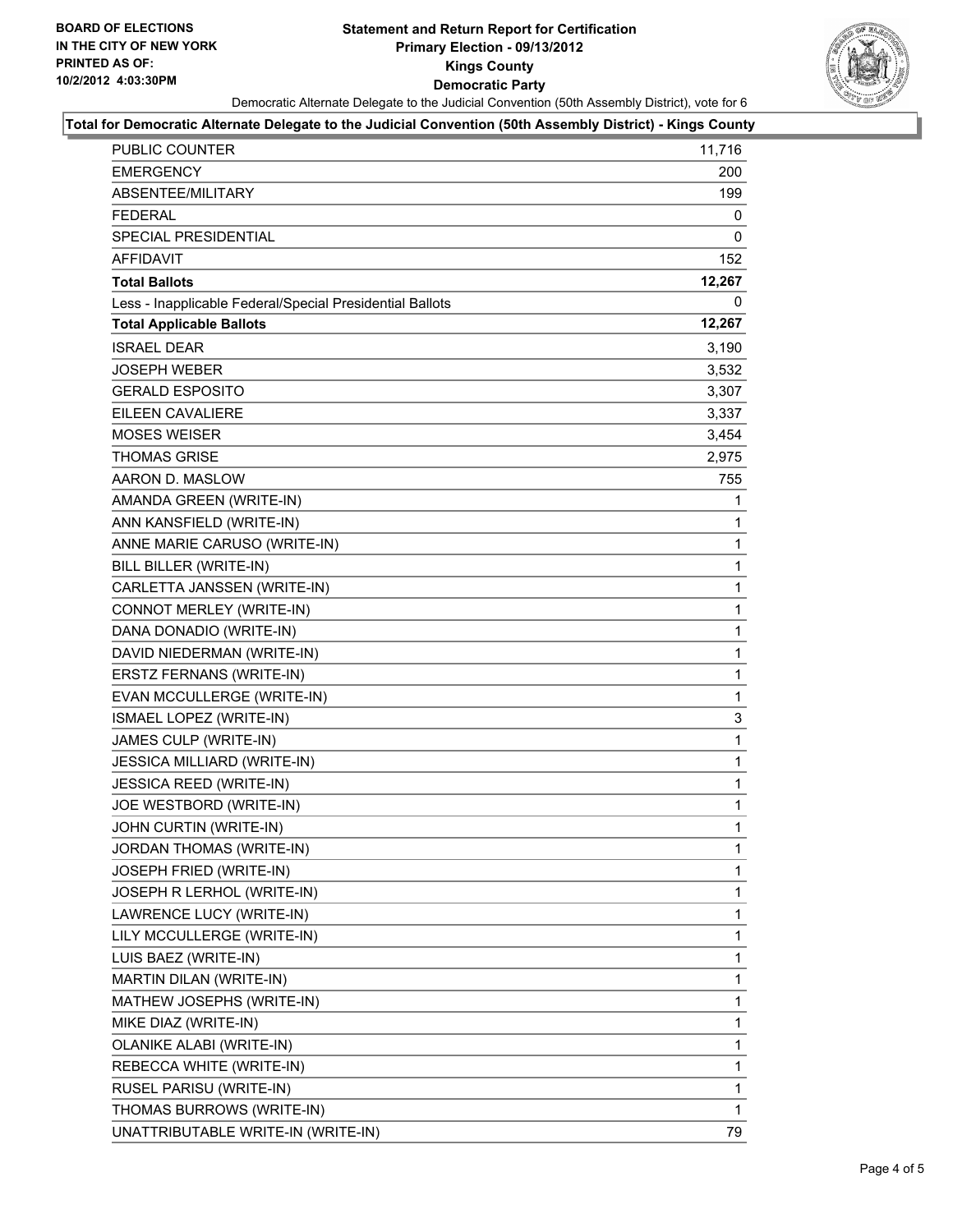#### **Statement and Return Report for Certification Primary Election - 09/13/2012 Kings County Democratic Party** Democratic Alternate Delegate to the Judicial Convention (50th Assembly District), vote for 6



#### **Total for Democratic Alternate Delegate to the Judicial Convention (50th Assembly District) - Kings County**

| PUBLIC COUNTER                                           | 11,716       |
|----------------------------------------------------------|--------------|
| <b>EMERGENCY</b>                                         | 200          |
| ABSENTEE/MILITARY                                        | 199          |
| <b>FEDERAL</b>                                           | 0            |
| <b>SPECIAL PRESIDENTIAL</b>                              | 0            |
| <b>AFFIDAVIT</b>                                         | 152          |
| <b>Total Ballots</b>                                     | 12,267       |
| Less - Inapplicable Federal/Special Presidential Ballots | 0            |
| <b>Total Applicable Ballots</b>                          | 12,267       |
| <b>ISRAEL DEAR</b>                                       | 3,190        |
| JOSEPH WEBER                                             | 3,532        |
| <b>GERALD ESPOSITO</b>                                   | 3,307        |
| EILEEN CAVALIERE                                         | 3,337        |
| <b>MOSES WEISER</b>                                      | 3,454        |
| <b>THOMAS GRISE</b>                                      | 2,975        |
| AARON D. MASLOW                                          | 755          |
| AMANDA GREEN (WRITE-IN)                                  | 1            |
| ANN KANSFIELD (WRITE-IN)                                 | 1            |
| ANNE MARIE CARUSO (WRITE-IN)                             | 1            |
| BILL BILLER (WRITE-IN)                                   | $\mathbf{1}$ |
| CARLETTA JANSSEN (WRITE-IN)                              | 1            |
| CONNOT MERLEY (WRITE-IN)                                 | 1            |
| DANA DONADIO (WRITE-IN)                                  | $\mathbf{1}$ |
| DAVID NIEDERMAN (WRITE-IN)                               | 1            |
| ERSTZ FERNANS (WRITE-IN)                                 | $\mathbf{1}$ |
| EVAN MCCULLERGE (WRITE-IN)                               | $\mathbf{1}$ |
| ISMAEL LOPEZ (WRITE-IN)                                  | 3            |
| JAMES CULP (WRITE-IN)                                    | 1            |
| <b>JESSICA MILLIARD (WRITE-IN)</b>                       | $\mathbf{1}$ |
| JESSICA REED (WRITE-IN)                                  | 1            |
| JOE WESTBORD (WRITE-IN)                                  | 1            |
| JOHN CURTIN (WRITE-IN)                                   | 1            |
| JORDAN THOMAS (WRITE-IN)                                 | 1            |
| JOSEPH FRIED (WRITE-IN)                                  | 1            |
| JOSEPH R LERHOL (WRITE-IN)                               | 1            |
| LAWRENCE LUCY (WRITE-IN)                                 | 1            |
| LILY MCCULLERGE (WRITE-IN)                               | 1            |
| LUIS BAEZ (WRITE-IN)                                     | 1            |
| MARTIN DILAN (WRITE-IN)                                  | 1            |
| MATHEW JOSEPHS (WRITE-IN)                                | 1            |
| MIKE DIAZ (WRITE-IN)                                     | 1            |
| OLANIKE ALABI (WRITE-IN)                                 | 1            |
| REBECCA WHITE (WRITE-IN)                                 | 1            |
| RUSEL PARISU (WRITE-IN)                                  | 1            |
| THOMAS BURROWS (WRITE-IN)                                | 1            |
| UNATTRIBUTABLE WRITE-IN (WRITE-IN)                       | 79           |